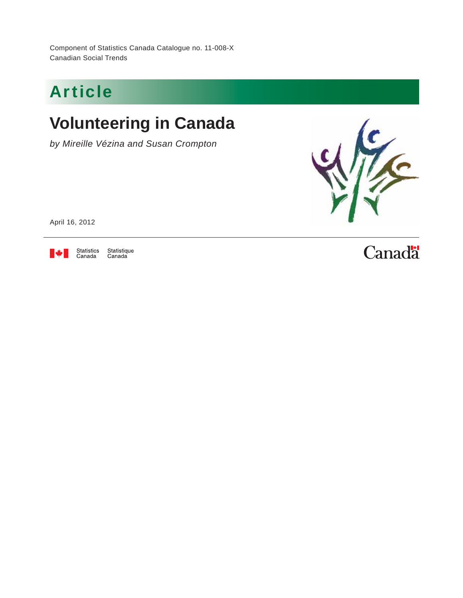Component of Statistics Canada Catalogue no. 11-008-X Canadian Social Trends

## Article

## **Volunteering in Canada**

*by Mireille Vézina and Susan Crompton*



April 16, 2012



Statistique<br>Canada

## **Canadä**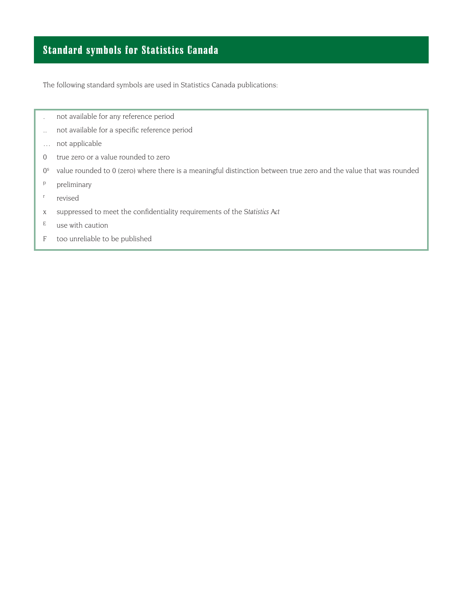### Standard symbols for Statistics Canada

The following standard symbols are used in Statistics Canada publications:

- . not available for any reference period
- .. not available for a specific reference period
- … not applicable
- 0 true zero or a value rounded to zero
- $0<sup>s</sup>$ value rounded to 0 (zero) where there is a meaningful distinction between true zero and the value that was rounded
- p preliminary
- r revised
- x suppressed to meet the confidentiality requirements of the Statistics Act
- $E$  use with caution
- F too unreliable to be published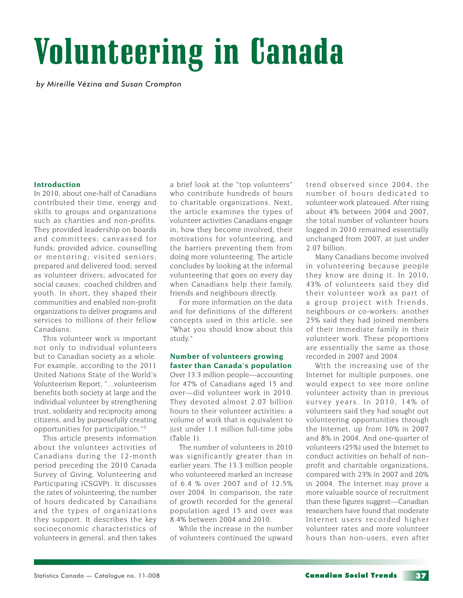# Volunteering in Canada

*by Mireille Vézina and Susan Crompton*

#### **Introduction**

In 2010, about one-half of Canadians contributed their time, energy and skills to groups and organizations such as charities and non-profits. They provided leadership on boards and committees; canvassed for funds; provided advice, counselling or mentoring; visited seniors; prepared and delivered food; served as volunteer drivers; advocated for social causes; coached children and youth. In short, they shaped their communities and enabled non-profit organizations to deliver programs and services to millions of their fellow Canadians.

This volunteer work is important not only to individual volunteers but to Canadian society as a whole. For example, according to the 2011 United Nations State of the World's Volunteerism Report, "...volunteerism benefits both society at large and the individual volunteer by strengthening trust, solidarity and reciprocity among citizens, and by purposefully creating opportunities for participation."<sup>1</sup>

This article presents information about the volunteer activities of Canadians during the 12-month period preceding the 2010 Canada Survey of Giving, Volunteering and Participating (CSGVP). It discusses the rates of volunteering, the number of hours dedicated by Canadians and the types of organizations they support. It describes the key socioeconomic characteristics of volunteers in general, and then takes a brief look at the "top volunteers" who contribute hundreds of hours to charitable organizations. Next, the article examines the types of volunteer activities Canadians engage in, how they become involved, their motivations for volunteering, and the barriers preventing them from doing more volunteering. The article concludes by looking at the informal volunteering that goes on every day when Canadians help their family, friends and neighbours directly.

For more information on the data and for definitions of the different concepts used in this article, see "What you should know about this study."

#### **Number of volunteers growing faster than Canada's population**

Over 13.3 million people—accounting for 47% of Canadians aged 15 and over—did volunteer work in 2010. They devoted almost 2.07 billion hours to their volunteer activities: a volume of work that is equivalent to just under 1.1 million full-time jobs (Table 1).

The number of volunteers in 2010 was significantly greater than in earlier years. The 13.3 million people who volunteered marked an increase of 6.4 % over 2007 and of 12.5% over 2004. In comparison, the rate of growth recorded for the general population aged 15 and over was 8.4% between 2004 and 2010.

While the increase in the number of volunteers continued the upward trend observed since 2004, the number of hours dedicated to volunteer work plateaued. After rising about 4% between 2004 and 2007, the total number of volunteer hours logged in 2010 remained essentially unchanged from 2007, at just under 2.07 billion.

Many Canadians become involved in volunteering because people they know are doing it. In 2010, 43% of volunteers said they did their volunteer work as part of a group project with friends, neighbours or co-workers; another 25% said they had joined members of their immediate family in their volunteer work. These proportions are essentially the same as those recorded in 2007 and 2004.

With the increasing use of the Internet for multiple purposes, one would expect to see more online volunteer activity than in previous survey years. In 2010, 14% of volunteers said they had sought out volunteering opportunities through the Internet, up from 10% in 2007 and 8% in 2004. And one-quarter of volunteers (25%) used the Internet to conduct activities on behalf of nonprofit and charitable organizations, compared with 23% in 2007 and 20% in 2004. The Internet may prove a more valuable source of recruitment than these figures suggest—Canadian researchers have found that moderate Internet users recorded higher volunteer rates and more volunteer hours than non-users, even after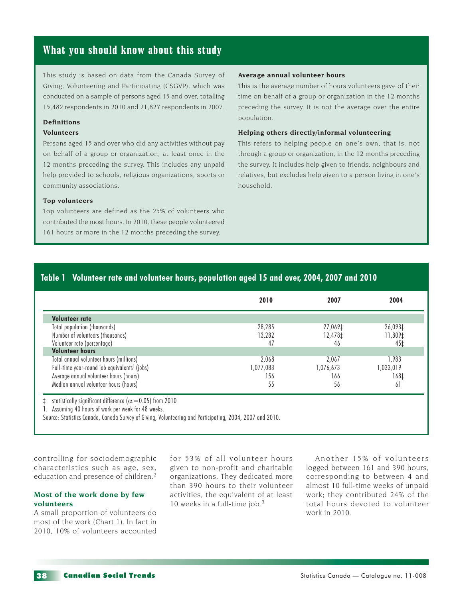#### What you should know about this study

This study is based on data from the Canada Survey of Giving, Volunteering and Participating (CSGVP), which was conducted on a sample of persons aged 15 and over, totalling 15,482 respondents in 2010 and 21,827 respondents in 2007.

#### **Definitions**

#### **Volunteers**

Persons aged 15 and over who did any activities without pay on behalf of a group or organization, at least once in the 12 months preceding the survey. This includes any unpaid help provided to schools, religious organizations, sports or community associations.

#### **Top volunteers**

Top volunteers are defined as the 25% of volunteers who contributed the most hours. In 2010, these people volunteered 161 hours or more in the 12 months preceding the survey.

#### **Average annual volunteer hours**

This is the average number of hours volunteers gave of their time on behalf of a group or organization in the 12 months preceding the survey. It is not the average over the entire population.

#### **Helping others directly/informal volunteering**

This refers to helping people on one's own, that is, not through a group or organization, in the 12 months preceding the survey. It includes help given to friends, neighbours and relatives, but excludes help given to a person living in one's household.

#### **Table 1 Volunteer rate and volunteer hours, population aged 15 and over, 2004, 2007 and 2010**

|                                                          | 2010      | 2007      | 2004      |
|----------------------------------------------------------|-----------|-----------|-----------|
| Volunteer rate                                           |           |           |           |
| Total population (thousands)                             | 28,285    | 27,069‡   | 26,093‡   |
| Number of volunteers (thousands)                         | 13,282    | 12,478‡   | 11,809‡   |
| Volunteer rate (percentage)                              | 47        | 46        | 45‡       |
| <b>Volunteer hours</b>                                   |           |           |           |
| Total annual volunteer hours (millions)                  | 2,068     | 2,067     | 1,983     |
| Full-time year-round job equivalents <sup>1</sup> (jobs) | 1,077,083 | 1,076,673 | 1,033,019 |
| Average annual volunteer hours (hours)                   | 156       | 166       | 168‡      |
| Median annual volunteer hours (hours)                    | 55        | 56        | 61        |

1. Assuming 40 hours of work per week for 48 weeks.

Source: Statistics Canada, Canada Survey of Giving, Volunteering and Participating, 2004, 2007 and 2010.

controlling for sociodemographic characteristics such as age, sex, education and presence of children.<sup>2</sup>

#### **Most of the work done by few volunteers**

A small proportion of volunteers do most of the work (Chart 1). In fact in 2010, 10% of volunteers accounted

for 53% of all volunteer hours given to non-profit and charitable organizations. They dedicated more than 390 hours to their volunteer activities, the equivalent of at least 10 weeks in a full-time job.<sup>3</sup>

Another 15% of volunteers logged between 161 and 390 hours, corresponding to between 4 and almost 10 full-time weeks of unpaid work; they contributed 24% of the total hours devoted to volunteer work in 2010.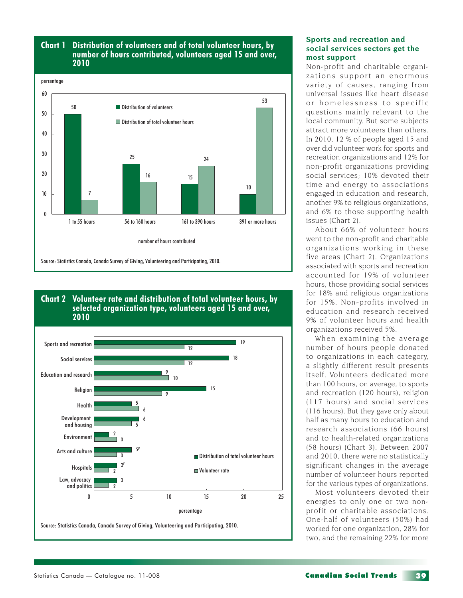#### **Chart 1 Distribution of volunteers and of total volunteer hours, by number of hours contributed, volunteers aged 15 and over, 2010**







#### **Sports and recreation and social services sectors get the most support**

Non-profit and charitable organizations support an enormous variety of causes, ranging from universal issues like heart disease or homelessness to specific questions mainly relevant to the local community. But some subjects attract more volunteers than others. In 2010, 12 % of people aged 15 and over did volunteer work for sports and recreation organizations and 12% for non-profit organizations providing social services; 10% devoted their time and energy to associations engaged in education and research, another 9% to religious organizations, and 6% to those supporting health issues (Chart 2).

About 66% of volunteer hours went to the non-profit and charitable organizations working in these five areas (Chart 2). Organizations associated with sports and recreation accounted for 19% of volunteer hours, those providing social services for 18% and religious organizations for 15%. Non-profits involved in education and research received 9% of volunteer hours and health organizations received 5%.

When examining the average number of hours people donated to organizations in each category, a slightly different result presents itself. Volunteers dedicated more than 100 hours, on average, to sports and recreation (120 hours), religion (117 hours) and social services (116 hours). But they gave only about half as many hours to education and research associations (66 hours) and to health-related organizations (58 hours) (Chart 3). Between 2007 and 2010, there were no statistically significant changes in the average number of volunteer hours reported for the various types of organizations.

Most volunteers devoted their energies to only one or two nonprofit or charitable associations. One-half of volunteers (50%) had worked for one organization, 28% for two, and the remaining 22% for more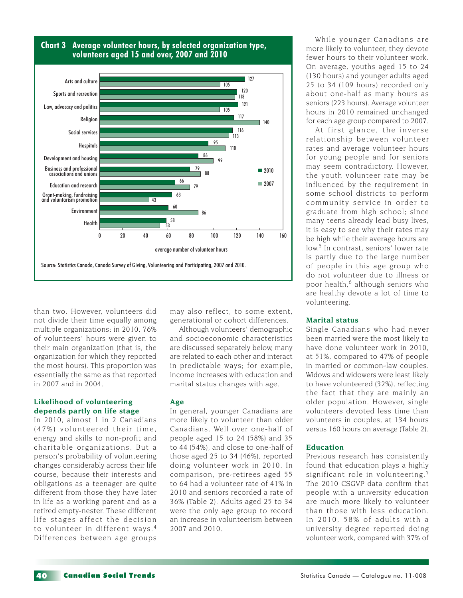

#### **Chart 3 Average volunteer hours, by selected organization type, volunteers aged 15 and over, 2007 and 2010**

than two. However, volunteers did not divide their time equally among multiple organizations: in 2010, 76% of volunteers' hours were given to their main organization (that is, the organization for which they reported the most hours). This proportion was essentially the same as that reported in 2007 and in 2004.

#### **Likelihood of volunteering depends partly on life stage**

In 2010, almost 1 in 2 Canadians (47%) volunteered their time. energy and skills to non-profit and charitable organizations. But a person's probability of volunteering changes considerably across their life course, because their interests and obligations as a teenager are quite different from those they have later in life as a working parent and as a retired empty-nester. These different life stages affect the decision to volunteer in different ways. <sup>4</sup> Differences between age groups may also reflect, to some extent, generational or cohort differences.

Although volunteers' demographic and socioeconomic characteristics are discussed separately below, many are related to each other and interact in predictable ways; for example, income increases with education and marital status changes with age.

#### **Age**

In general, younger Canadians are more likely to volunteer than older Canadians. Well over one-half of people aged 15 to 24 (58%) and 35 to 44 (54%), and close to one-half of those aged 25 to 34 (46%), reported doing volunteer work in 2010. In comparison, pre-retirees aged 55 to 64 had a volunteer rate of 41% in 2010 and seniors recorded a rate of 36% (Table 2). Adults aged 25 to 34 were the only age group to record an increase in volunteerism between 2007 and 2010.

While younger Canadians are more likely to volunteer, they devote fewer hours to their volunteer work. On average, youths aged 15 to 24 (130 hours) and younger adults aged 25 to 34 (109 hours) recorded only about one-half as many hours as seniors (223 hours). Average volunteer hours in 2010 remained unchanged for each age group compared to 2007.

At first glance, the inverse relationship between volunteer rates and average volunteer hours for young people and for seniors may seem contradictory. However, the youth volunteer rate may be influenced by the requirement in some school districts to perform community service in order to graduate from high school; since many teens already lead busy lives, it is easy to see why their rates may be high while their average hours are low.<sup>5</sup> In contrast, seniors' lower rate is partly due to the large number of people in this age group who do not volunteer due to illness or poor health,<sup>6</sup> although seniors who are healthy devote a lot of time to volunteering.

#### **Marital status**

Single Canadians who had never been married were the most likely to have done volunteer work in 2010, at 51%, compared to 47% of people in married or common-law couples. Widows and widowers were least likely to have volunteered (32%), reflecting the fact that they are mainly an older population. However, single volunteers devoted less time than volunteers in couples, at 134 hours versus 160 hours on average (Table 2).

#### **Education**

Previous research has consistently found that education plays a highly significant role in volunteering.<sup>7</sup> The 2010 CSGVP data confirm that people with a university education are much more likely to volunteer than those with less education. In 2010, 58% of adults with a university degree reported doing volunteer work, compared with 37% of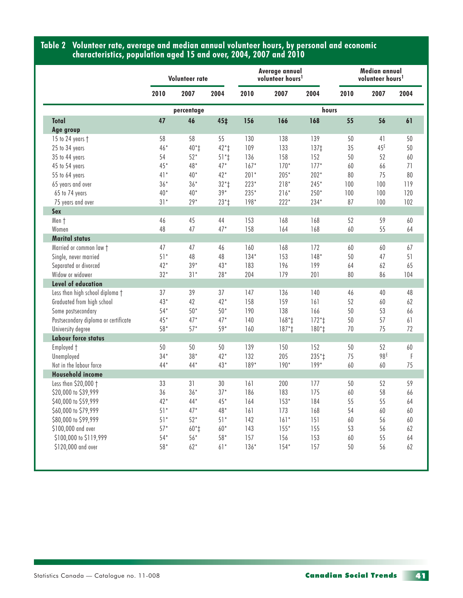#### **Table 2 Volunteer rate, average and median annual volunteer hours, by personal and economic characteristics, population aged 15 and over, 2004, 2007 and 2010**

|                                      | Volunteer rate |            |                 | Average annual<br>volunteer hours <sup>1</sup> |         |                  | Median annual<br>volunteer hours <sup>1</sup> |                 |      |
|--------------------------------------|----------------|------------|-----------------|------------------------------------------------|---------|------------------|-----------------------------------------------|-----------------|------|
|                                      | 2010           | 2007       | 2004            | 2010                                           | 2007    | 2004             | 2010                                          | 2007            | 2004 |
|                                      |                | percentage |                 | hours                                          |         |                  |                                               |                 |      |
| Total                                | 47             | 46         | 45 <sub>‡</sub> | 156                                            | 166     | 168              | 55                                            | 56              | 61   |
| Age group                            |                |            |                 |                                                |         |                  |                                               |                 |      |
| 15 to 24 years †                     | 58             | 58         | 55              | 130                                            | 138     | 139              | 50                                            | 41              | 50   |
| 25 to 34 years                       | $46*$          | $40*$      | $42*$           | 109                                            | 133     | 137 <sub>‡</sub> | 35                                            | 45 <sup>E</sup> | 50   |
| 35 to 44 years                       | 54             | $52*$      | $51*$           | 136                                            | 158     | 152              | 50                                            | 52              | 60   |
| 45 to 54 years                       | $45*$          | 48*        | $47*$           | $167*$                                         | $170*$  | $177*$           | 60                                            | 66              | 71   |
| 55 to 64 years                       | $41*$          | $40*$      | $42*$           | $201*$                                         | $205*$  | $202*$           | 80                                            | 75              | 80   |
| 65 years and over                    | $36*$          | $36*$      | $32*$           | $223*$                                         | $218*$  | $245*$           | 100                                           | 100             | 119  |
| 65 to 74 years                       | $40*$          | $40*$      | $39*$           | $235*$                                         | $216*$  | $250*$           | 100                                           | 100             | 120  |
| 75 years and over                    | $31*$          | $29*$      | $23*$           | $198*$                                         | $222*$  | 234*             | 87                                            | 100             | 102  |
| Sex                                  |                |            |                 |                                                |         |                  |                                               |                 |      |
| Men †                                | 46             | 45         | 44              | 153                                            | 168     | 168              | 52                                            | 59              | 60   |
| Women                                | 48             | 47         | $47*$           | 158                                            | 164     | 168              | 60                                            | 55              | 64   |
| <b>Marital status</b>                |                |            |                 |                                                |         |                  |                                               |                 |      |
| Married or common law t              | 47             | 47         | 46              | 160                                            | 168     | 172              | 60                                            | 60              | 67   |
| Single, never married                | $51*$          | 48         | 48              | $134*$                                         | 153     | $148*$           | 50                                            | 47              | 51   |
| Separated or divorced                | $42*$          | $39*$      | $43*$           | 183                                            | 196     | 199              | 64                                            | 62              | 65   |
| Widow or widower                     | $32*$          | $31*$      | $28*$           | 204                                            | 179     | 201              | 80                                            | 86              | 104  |
| <b>Level of education</b>            |                |            |                 |                                                |         |                  |                                               |                 |      |
| Less than high school diploma +      | 37             | 39         | 37              | 147                                            | 136     | 140              | 46                                            | 40              | 48   |
| Graduated from high school           | $43*$          | 42         | $42*$           | 158                                            | 159     | 161              | 52                                            | 60              | 62   |
| Some postsecondary                   | $54*$          | $50*$      | $50*$           | 190                                            | 138     | 166              | 50                                            | 53              | 66   |
| Postsecondary diploma or certificate | $45*$          | $47*$      | $47*$           | 140                                            | $168*+$ | $172*1$          | 50                                            | 57              | 61   |
| University degree                    | 58*            | $57*$      | $59*$           | 160                                            | $187*$  | $180*$           | 70                                            | 75              | 72   |
| <b>Labour force status</b>           |                |            |                 |                                                |         |                  |                                               |                 |      |
| Employed +                           | 50             | 50         | 50              | 139                                            | 150     | 152              | 50                                            | 52              | 60   |
| Unemployed                           | $34*$          | $38*$      | $42*$           | 132                                            | 205     | $235*$           | 75                                            | 98E             | -F   |
| Not in the labour force              | $44*$          | $44*$      | $43*$           | $189*$                                         | $190*$  | $199*$           | 60                                            | 60              | 75   |
| <b>Household income</b>              |                |            |                 |                                                |         |                  |                                               |                 |      |
| Less than \$20,000 +                 | 33             | 31         | 30              | 161                                            | 200     | 177              | 50                                            | 52              | 59   |
| \$20,000 to \$39,999                 | 36             | $36*$      | $37*$           | 186                                            | 183     | 175              | 60                                            | 58              | 66   |
| \$40,000 to \$59,999                 | $42*$          | $44*$      | $45*$           | 164                                            | $153*$  | 184              | 55                                            | 55              | 64   |
| \$60,000 to \$79,999                 | $51*$          | $47*$      | $48*$           | 161                                            | 173     | 168              | 54                                            | 60              | 60   |
| \$80,000 to \$99,999                 | $51*$          | $52*$      | $51*$           | 142                                            | $161*$  | 151              | 60                                            | 56              | 60   |
| \$100,000 and over                   | $57*$          | $60*$      | $60*$           | 143                                            | $155*$  | 155              | 53                                            | 56              | 62   |
| \$100,000 to \$119,999               | $54*$          | $56*$      | $58*$           | 157                                            | 156     | 153              |                                               | 55              | 64   |
| \$120,000 and over                   |                |            | $61*$           | $136*$                                         | $154*$  |                  | 60                                            |                 |      |
|                                      | $58*$          | $62*$      |                 |                                                |         | 157              | 50                                            | 56              | 62   |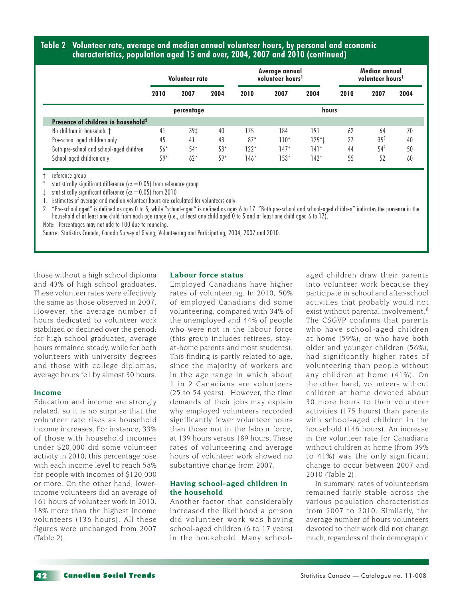#### **Table 2 Volunteer rate, average and median annual volunteer hours, by personal and economic characteristics, population aged 15 and over, 2004, 2007 and 2010 (continued)**

|                                                | Volunteer rate |       | Average annual<br>volunteer hours <sup>1</sup> |        |        | Median annual<br>volunteer hours <sup>1</sup> |      |                 |      |
|------------------------------------------------|----------------|-------|------------------------------------------------|--------|--------|-----------------------------------------------|------|-----------------|------|
|                                                | 2010           | 2007  | 2004                                           | 2010   | 2007   | 2004                                          | 2010 | 2007            | 2004 |
|                                                | percentage     |       |                                                | hours  |        |                                               |      |                 |      |
| Presence of children in household <sup>2</sup> |                |       |                                                |        |        |                                               |      |                 |      |
| No children in household †                     | 41             | 39‡   | 40                                             | 175    | 184    | 191                                           | 62   | 64              | 70   |
| Pre-school aged children only                  | 45             | 41    | 43                                             | $87*$  | $110*$ | $125*$                                        | 27   | 35 <sup>E</sup> | 40   |
| Both pre-school and school-aged children       | $56*$          | $54*$ | $53*$                                          | $122*$ | 147*   | $141*$                                        | 44   | $54^E$          | 50   |
| School-aged children only                      | $59*$          | $62*$ | $59*$                                          | $146*$ | $153*$ | 142*                                          | 55   | 52              | 60   |

reference group

statistically significant difference ( $\alpha$  = 0.05) from reference group

 $\ddagger$  statistically significant difference ( $\alpha$  = 0.05) from 2010

1. Estimates of average and median volunteer hours are calculated for volunteers only.

2. "Pre-school aged" is defined as ages 0 to 5, while "school-aged" is defined as ages 6 to 17. "Both pre-school and school-aged children" indicates the presence in the household of at least one child from each age range (i.e., at least one child aged 0 to 5 and at least one child aged 6 to 17).

Note: Percentages may not add to 100 due to rounding.

Source: Statistics Canada, Canada Survey of Giving, Volunteering and Participating, 2004, 2007 and 2010.

those without a high school diploma and 43% of high school graduates. These volunteer rates were effectively the same as those observed in 2007. However, the average number of hours dedicated to volunteer work stabilized or declined over the period: for high school graduates, average hours remained steady, while for both volunteers with university degrees and those with college diplomas, average hours fell by almost 30 hours.

#### **Income**

Education and income are strongly related, so it is no surprise that the volunteer rate rises as household income increases. For instance, 33% of those with household incomes under \$20,000 did some volunteer activity in 2010; this percentage rose with each income level to reach 58% for people with incomes of \$120,000 or more. On the other hand, lowerincome volunteers did an average of 161 hours of volunteer work in 2010, 18% more than the highest income volunteers (136 hours). All these figures were unchanged from 2007 (Table 2).

#### **Labour force status**

Employed Canadians have higher rates of volunteering. In 2010, 50% of employed Canadians did some volunteering, compared with 34% of the unemployed and 44% of people who were not in the labour force (this group includes retirees, stayat-home parents and most students). This finding is partly related to age, since the majority of workers are in the age range in which about 1 in 2 Canadians are volunteers (25 to 54 years). However, the time demands of their jobs may explain why employed volunteers recorded significantly fewer volunteer hours than those not in the labour force, at 139 hours versus 189 hours. These rates of volunteering and average hours of volunteer work showed no substantive change from 2007.

#### **Having school-aged children in the household**

Another factor that considerably increased the likelihood a person did volunteer work was having school-aged children (6 to 17 years) in the household. Many schoolaged children draw their parents into volunteer work because they participate in school and after-school activities that probably would not exist without parental involvement.<sup>8</sup> The CSGVP confirms that parents who have school-aged children at home (59%), or who have both older and younger children (56%), had significantly higher rates of volunteering than people without any children at home (41%). On the other hand, volunteers without children at home devoted about 30 more hours to their volunteer activities (175 hours) than parents with school-aged children in the household (146 hours). An increase in the volunteer rate for Canadians without children at home (from 39% to 41%) was the only significant change to occur between 2007 and 2010 (Table 2).

In summary, rates of volunteerism remained fairly stable across the various population characteristics from 2007 to 2010. Similarly, the average number of hours volunteers devoted to their work did not change much, regardless of their demographic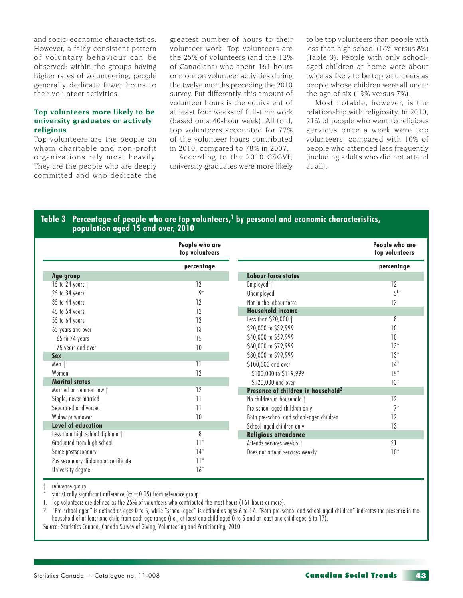and socio-economic characteristics. However, a fairly consistent pattern of voluntary behaviour can be observed: within the groups having higher rates of volunteering, people generally dedicate fewer hours to their volunteer activities.

#### **Top volunteers more likely to be university graduates or actively religious**

Top volunteers are the people on whom charitable and non-profit organizations rely most heavily. They are the people who are deeply committed and who dedicate the

greatest number of hours to their volunteer work. Top volunteers are the 25% of volunteers (and the 12% of Canadians) who spent 161 hours or more on volunteer activities during the twelve months preceding the 2010 survey. Put differently, this amount of volunteer hours is the equivalent of at least four weeks of full-time work (based on a 40-hour week). All told, top volunteers accounted for 77% of the volunteer hours contributed in 2010, compared to 78% in 2007.

According to the 2010 CSGVP, university graduates were more likely

to be top volunteers than people with less than high school (16% versus 8%) (Table 3). People with only schoolaged children at home were about twice as likely to be top volunteers as people whose children were all under the age of six (13% versus 7%).

Most notable, however, is the relationship with religiosity. In 2010, 21% of people who went to religious services once a week were top volunteers, compared with 10% of people who attended less frequently (including adults who did not attend at all).

#### Table 3 Percentage of people who are top volunteers,<sup>1</sup> by personal and economic characteristics, **population aged 15 and over, 2010**

|                                      | People who are<br>top volunteers |                                                | People who are<br>top volunteers |
|--------------------------------------|----------------------------------|------------------------------------------------|----------------------------------|
|                                      | percentage                       |                                                | percentage                       |
| Age group                            |                                  | <b>Labour force status</b>                     |                                  |
| 15 to 24 years †                     | 12                               | Employed †                                     | 12                               |
| 25 to 34 years                       | $9*$                             | Unemployed                                     | $5^{\epsilon*}$                  |
| 35 to 44 years                       | 12                               | Not in the labour force                        | 13                               |
| 45 to 54 years                       | 12                               | <b>Household income</b>                        |                                  |
| 55 to 64 years                       | 12                               | Less than \$20,000 +                           | 8                                |
| 65 years and over                    | 13                               | \$20,000 to \$39,999                           | 10                               |
| 65 to 74 years                       | 15                               | \$40,000 to \$59,999                           | 10                               |
| 75 years and over                    | 10                               | \$60,000 to \$79,999                           | $13*$                            |
| <b>Sex</b>                           |                                  | \$80,000 to \$99,999                           | $13*$                            |
| Men †                                | $\overline{11}$                  | \$100,000 and over                             | $14*$                            |
| Women                                | 12                               | \$100,000 to \$119,999                         | $15*$                            |
| <b>Marital status</b>                |                                  | \$120,000 and over                             | $13*$                            |
| Married or common law +              | 12                               | Presence of children in household <sup>2</sup> |                                  |
| Single, never married                | $\overline{11}$                  | No children in household †                     | 12                               |
| Separated or divorced                | 11                               | Pre-school aged children only                  | $7*$                             |
| Widow or widower                     | 10                               | Both pre-school and school-aged children       | 12                               |
| Level of education                   |                                  | School-aged children only                      | 13                               |
| Less than high school diploma †      | 8                                | <b>Religious attendance</b>                    |                                  |
| Graduated from high school           | $11*$                            | Attends services weekly †                      | 21                               |
| Some postsecondary                   | $14*$                            | Does not attend services weekly                | $10*$                            |
| Postsecondary diploma or certificate | $11*$                            |                                                |                                  |
| University degree                    | $16*$                            |                                                |                                  |

reference group

statistically significant difference ( $\alpha$  = 0.05) from reference group

1. Top volunteers are defined as the 25% of volunteers who contributed the most hours (161 hours or more).

2. "Pre-school aged" is defined as ages 0 to 5, while "school-aged" is defined as ages 6 to 17. "Both pre-school and school-aged children" indicates the presence in the household of at least one child from each age range (i.e., at least one child aged 0 to 5 and at least one child aged 6 to 17). Source: Statistics Canada, Canada Survey of Giving, Volunteering and Participating, 2010.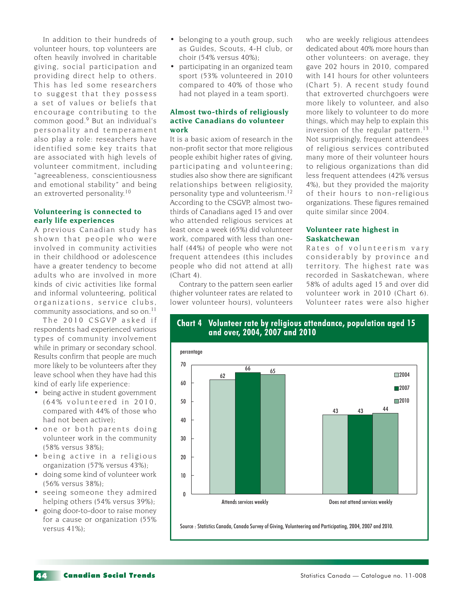In addition to their hundreds of volunteer hours, top volunteers are often heavily involved in charitable giving, social participation and providing direct help to others. This has led some researchers to suggest that they possess a set of values or beliefs that encourage contributing to the common good.9 But an individual's personality and temperament also play a role: researchers have identified some key traits that are associated with high levels of volunteer commitment, including "agreeableness, conscientiousness and emotional stability" and being an extroverted personality.<sup>10</sup>

#### **Volunteering is connected to early life experiences**

A previous Canadian study has shown that people who were involved in community activities in their childhood or adolescence have a greater tendency to become adults who are involved in more kinds of civic activities like formal and informal volunteering, political organizations, service clubs, community associations, and so on.<sup>11</sup>

The 2010 CSGVP asked if respondents had experienced various types of community involvement while in primary or secondary school. Results confirm that people are much more likely to be volunteers after they leave school when they have had this kind of early life experience:

- being active in student government  $(64\%$  volunteered in 2010, compared with 44% of those who had not been active);
- one or both parents doing volunteer work in the community (58% versus 38%);
- being active in a religious organization (57% versus 43%);
- doing some kind of volunteer work (56% versus 38%);
- seeing someone they admired helping others (54% versus 39%);
- going door-to-door to raise money for a cause or organization (55% versus 41%);
- belonging to a youth group, such as Guides, Scouts, 4-H club, or choir (54% versus 40%);
- participating in an organized team sport (53% volunteered in 2010 compared to 40% of those who had not played in a team sport).

#### **Almost two-thirds of religiously active Canadians do volunteer work**

It is a basic axiom of research in the non-profit sector that more religious people exhibit higher rates of giving, participating and volunteering; studies also show there are significant relationships between religiosity, personality type and volunteerism.<sup>12</sup> According to the CSGVP, almost twothirds of Canadians aged 15 and over who attended religious services at least once a week (65%) did volunteer work, compared with less than onehalf (44%) of people who were not frequent attendees (this includes people who did not attend at all) (Chart 4).

Contrary to the pattern seen earlier (higher volunteer rates are related to lower volunteer hours), volunteers

who are weekly religious attendees dedicated about 40% more hours than other volunteers: on average, they gave 202 hours in 2010, compared with 141 hours for other volunteers (Chart 5). A recent study found that extroverted churchgoers were more likely to volunteer, and also more likely to volunteer to do more things, which may help to explain this inversion of the regular pattern.<sup>13</sup> Not surprisingly, frequent attendees of religious services contributed many more of their volunteer hours to religious organizations than did less frequent attendees (42% versus 4%), but they provided the majority of their hours to non-religious organizations. These figures remained quite similar since 2004.

#### **Volunteer rate highest in Saskatchewan**

Rates of volunteerism vary considerably by province and territory. The highest rate was recorded in Saskatchewan, where 58% of adults aged 15 and over did volunteer work in 2010 (Chart 6). Volunteer rates were also higher



**Chart 4 Volunteer rate by religious attendance, population aged 15 and over, 2004, 2007 and 2010**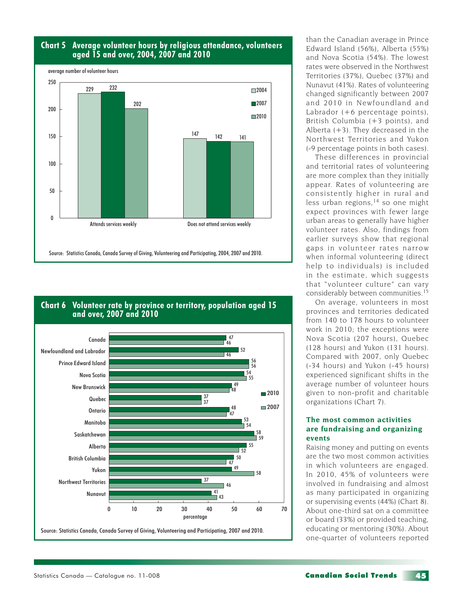

#### **Chart 5 Average volunteer hours by religious attendance, volunteers aged 15 and over, 2004, 2007 and 2010**



#### **Chart 6 Volunteer rate by province or territory, population aged 15 and over, 2007 and 2010**

than the Canadian average in Prince Edward Island (56%), Alberta (55%) and Nova Scotia (54%). The lowest rates were observed in the Northwest Territories (37%), Quebec (37%) and Nunavut (41%). Rates of volunteering changed significantly between 2007 and 2010 in Newfoundland and Labrador (+6 percentage points), British Columbia (+3 points), and Alberta  $(+3)$ . They decreased in the Northwest Territories and Yukon (-9 percentage points in both cases).

These differences in provincial and territorial rates of volunteering are more complex than they initially appear. Rates of volunteering are consistently higher in rural and less urban regions,<sup>14</sup> so one might expect provinces with fewer large urban areas to generally have higher volunteer rates. Also, findings from earlier surveys show that regional gaps in volunteer rates narrow when informal volunteering (direct help to individuals) is included in the estimate, which suggests that "volunteer culture" can vary considerably between communities.<sup>15</sup>

On average, volunteers in most provinces and territories dedicated from 140 to 178 hours to volunteer work in 2010; the exceptions were Nova Scotia (207 hours), Quebec (128 hours) and Yukon (131 hours). Compared with 2007, only Quebec (-34 hours) and Yukon (-45 hours) experienced significant shifts in the average number of volunteer hours given to non-profit and charitable organizations (Chart 7).

#### **The most common activities are fundraising and organizing events**

Raising money and putting on events are the two most common activities in which volunteers are engaged. In 2010, 45% of volunteers were involved in fundraising and almost as many participated in organizing or supervising events (44%) (Chart 8). About one-third sat on a committee or board (33%) or provided teaching, educating or mentoring (30%). About one-quarter of volunteers reported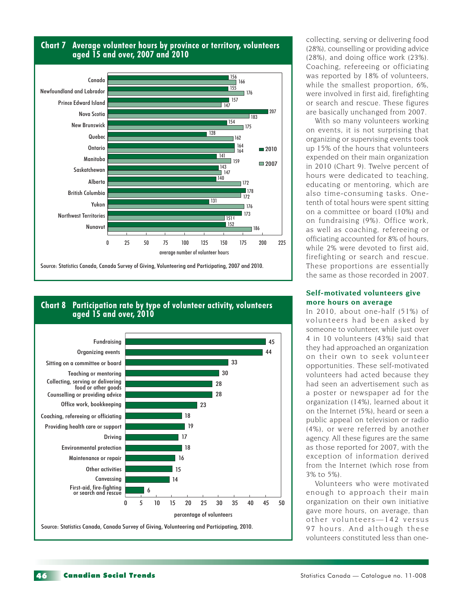

#### **Chart 8 Participation rate by type of volunteer activity, volunteers aged 15 and over, 2010**



collecting, serving or delivering food (28%), counselling or providing advice (28%), and doing office work (23%). Coaching, refereeing or officiating was reported by 18% of volunteers, while the smallest proportion, 6%, were involved in first aid, firefighting or search and rescue. These figures are basically unchanged from 2007.

With so many volunteers working on events, it is not surprising that organizing or supervising events took up 15% of the hours that volunteers expended on their main organization in 2010 (Chart 9). Twelve percent of hours were dedicated to teaching, educating or mentoring, which are also time-consuming tasks. Onetenth of total hours were spent sitting on a committee or board (10%) and on fundraising (9%). Office work, as well as coaching, refereeing or officiating accounted for 8% of hours, while 2% were devoted to first aid, firefighting or search and rescue. These proportions are essentially the same as those recorded in 2007.

#### **Self-motivated volunteers give more hours on average**

In 2010, about one-half (51%) of volunteers had been asked by someone to volunteer, while just over 4 in 10 volunteers (43%) said that they had approached an organization on their own to seek volunteer opportunities. These self-motivated volunteers had acted because they had seen an advertisement such as a poster or newspaper ad for the organization (14%), learned about it on the Internet (5%), heard or seen a public appeal on television or radio (4%), or were referred by another agency. All these figures are the same as those reported for 2007, with the exception of information derived from the Internet (which rose from 3% to 5%).

Volunteers who were motivated enough to approach their main organization on their own initiative gave more hours, on average, than other volunteers-142 versus 97 hours. And although these volunteers constituted less than one-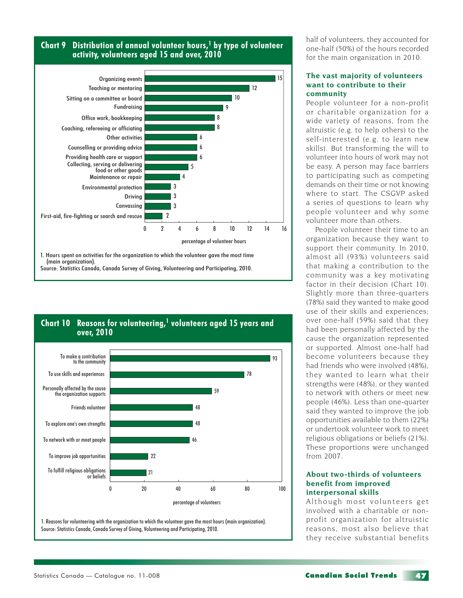



Source: Statistics Canada, Canada Survey of Giving, Volunteering and Participating, 2010.

**Chart 10 Reasons for volunteering,<sup>1</sup> volunteers aged 15 years and** 



1. Reasons for volunteering with the organization to which the volunteer gave the most hours (main organization). Source: Statistics Canada, Canada Survey of Giving, Volunteering and Participating, 2010.

half of volunteers, they accounted for one-half (50%) of the hours recorded for the main organization in 2010.

#### **The vast majority of volunteers want to contribute to their community**

People volunteer for a non-profit or charitable organization for a wide variety of reasons, from the altruistic (e.g. to help others) to the self-interested (e.g. to learn new skills). But transforming the will to volunteer into hours of work may not be easy. A person may face barriers to participating such as competing demands on their time or not knowing where to start. The CSGVP asked a series of questions to learn why people volunteer and why some volunteer more than others.

People volunteer their time to an organization because they want to support their community. In 2010, almost all (93%) volunteers said that making a contribution to the community was a key motivating factor in their decision (Chart 10). Slightly more than three-quarters (78%) said they wanted to make good use of their skills and experiences; over one-half (59%) said that they had been personally affected by the cause the organization represented or supported. Almost one-half had become volunteers because they had friends who were involved (48%), they wanted to learn what their strengths were (48%), or they wanted to network with others or meet new people (46%). Less than one-quarter said they wanted to improve the job opportunities available to them (22%) or undertook volunteer work to meet religious obligations or beliefs (21%). These proportions were unchanged from 2007.

#### **About two-thirds of volunteers benefit from improved interpersonal skills**

Although most volunteers get involved with a charitable or nonprofit organization for altruistic reasons, most also believe that they receive substantial benefits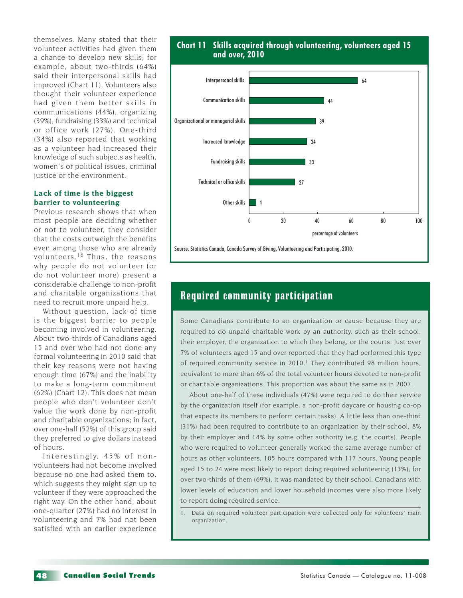themselves. Many stated that their volunteer activities had given them a chance to develop new skills; for example, about two-thirds (64%) said their interpersonal skills had improved (Chart 11). Volunteers also thought their volunteer experience had given them better skills in communications (44%), organizing (39%), fundraising (33%) and technical or office work (27%). One-third (34%) also reported that working as a volunteer had increased their knowledge of such subjects as health, women's or political issues, criminal justice or the environment.

#### **Lack of time is the biggest barrier to volunteering**

Previous research shows that when most people are deciding whether or not to volunteer, they consider that the costs outweigh the benefits even among those who are already volunteers. 16 Thus, the reasons why people do not volunteer (or do not volunteer more) present a considerable challenge to non-profit and charitable organizations that need to recruit more unpaid help.

Without question, lack of time is the biggest barrier to people becoming involved in volunteering. About two-thirds of Canadians aged 15 and over who had not done any formal volunteering in 2010 said that their key reasons were not having enough time (67%) and the inability to make a long-term commitment (62%) (Chart 12). This does not mean people who don't volunteer don't value the work done by non-profit and charitable organizations; in fact, over one-half (52%) of this group said they preferred to give dollars instead of hours.

Interestingly, 45% of nonvolunteers had not become involved because no one had asked them to, which suggests they might sign up to volunteer if they were approached the right way. On the other hand, about one-quarter (27%) had no interest in volunteering and 7% had not been satisfied with an earlier experience

#### **Chart 11 Skills acquired through volunteering, volunteers aged 15 and over, 2010**



Source: Statistics Canada, Canada Survey of Giving, Volunteering and Participating, 2010.

#### Required community participation

Some Canadians contribute to an organization or cause because they are required to do unpaid charitable work by an authority, such as their school, their employer, the organization to which they belong, or the courts. Just over 7% of volunteers aged 15 and over reported that they had performed this type of required community service in  $2010<sup>1</sup>$  They contributed 98 million hours, equivalent to more than 6% of the total volunteer hours devoted to non-profit or charitable organizations. This proportion was about the same as in 2007.

About one-half of these individuals (47%) were required to do their service by the organization itself (for example, a non-profit daycare or housing co-op that expects its members to perform certain tasks). A little less than one-third (31%) had been required to contribute to an organization by their school, 8% by their employer and 14% by some other authority (e.g. the courts). People who were required to volunteer generally worked the same average number of hours as other volunteers, 105 hours compared with 117 hours. Young people aged 15 to 24 were most likely to report doing required volunteering (13%); for over two-thirds of them (69%), it was mandated by their school. Canadians with lower levels of education and lower household incomes were also more likely to report doing required service.

1. Data on required volunteer participation were collected only for volunteers' main organization.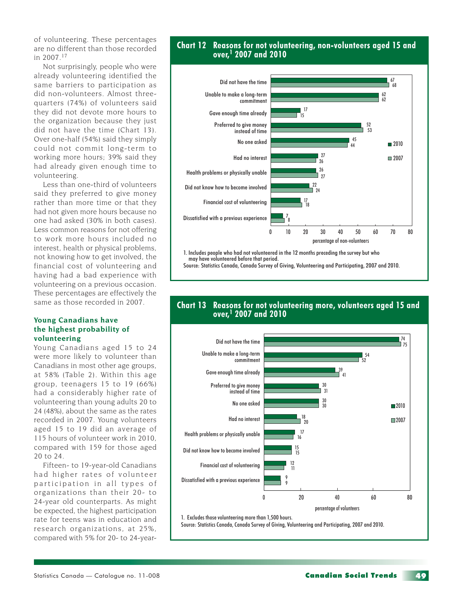of volunteering. These percentages are no different than those recorded in 2007.<sup>17</sup>

Not surprisingly, people who were already volunteering identified the same barriers to participation as did non-volunteers. Almost threequarters (74%) of volunteers said they did not devote more hours to the organization because they just did not have the time (Chart 13). Over one-half (54%) said they simply could not commit long-term to working more hours; 39% said they had already given enough time to volunteering.

Less than one-third of volunteers said they preferred to give money rather than more time or that they had not given more hours because no one had asked (30% in both cases). Less common reasons for not offering to work more hours included no interest, health or physical problems, not knowing how to get involved, the financial cost of volunteering and having had a bad experience with volunteering on a previous occasion. These percentages are effectively the same as those recorded in 2007.

#### **Young Canadians have the highest probability of volunteering**

Young Canadians aged 15 to 24 were more likely to volunteer than Canadians in most other age groups, at 58% (Table 2). Within this age group, teenagers 15 to 19 (66%) had a considerably higher rate of volunteering than young adults 20 to 24 (48%), about the same as the rates recorded in 2007. Young volunteers aged 15 to 19 did an average of 115 hours of volunteer work in 2010, compared with 159 for those aged 20 to 24.

Fifteen- to 19-year-old Canadians had higher rates of volunteer participation in all types of organizations than their 20- to 24-year old counterparts. As might be expected, the highest participation rate for teens was in education and research organizations, at 25%, compared with 5% for 20- to 24-year-

#### **Chart 12 Reasons for not volunteering, non-volunteers aged 15 and over,1 2007 and 2010**



1. Includes people who had not volunteered in the 12 months preceding the survey but who may have volunteered before that period.

Source: Statistics Canada, Canada Survey of Giving, Volunteering and Participating, 2007 and 2010.

#### **Chart 13 Reasons for not volunteering more, volunteers aged 15 and over,1 2007 and 2010**



1. Excludes those volunteering more than 1,500 hours.

Source: Statistics Canada, Canada Survey of Giving, Volunteering and Participating, 2007 and 2010.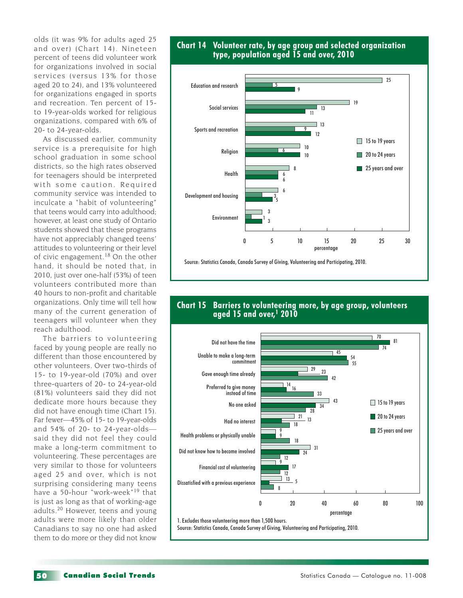olds (it was 9% for adults aged 25 and over) (Chart 14). Nineteen percent of teens did volunteer work for organizations involved in social services (versus 13% for those aged 20 to 24), and 13% volunteered for organizations engaged in sports and recreation. Ten percent of 15 to 19-year-olds worked for religious organizations, compared with 6% of 20- to 24-year-olds.

As discussed earlier, community service is a prerequisite for high school graduation in some school districts, so the high rates observed for teenagers should be interpreted with some caution. Required community service was intended to inculcate a "habit of volunteering" that teens would carry into adulthood; however, at least one study of Ontario students showed that these programs have not appreciably changed teens' attitudes to volunteering or their level of civic engagement.18 On the other hand, it should be noted that, in 2010, just over one-half (53%) of teen volunteers contributed more than 40 hours to non-profit and charitable organizations. Only time will tell how many of the current generation of teenagers will volunteer when they reach adulthood.

The barriers to volunteering faced by young people are really no different than those encountered by other volunteers. Over two-thirds of 15- to 19-year-old (70%) and over three-quarters of 20- to 24-year-old (81%) volunteers said they did not dedicate more hours because they did not have enough time (Chart 15). Far fewer—45% of 15- to 19-year-olds and 54% of 20- to 24-year-olds said they did not feel they could make a long-term commitment to volunteering. These percentages are very similar to those for volunteers aged 25 and over, which is not surprising considering many teens have a 50-hour "work-week"19 that is just as long as that of working-age adults.20 However, teens and young adults were more likely than older Canadians to say no one had asked them to do more or they did not know





#### **Chart 15 Barriers to volunteering more, by age group, volunteers aged 15 and over,1 2010**

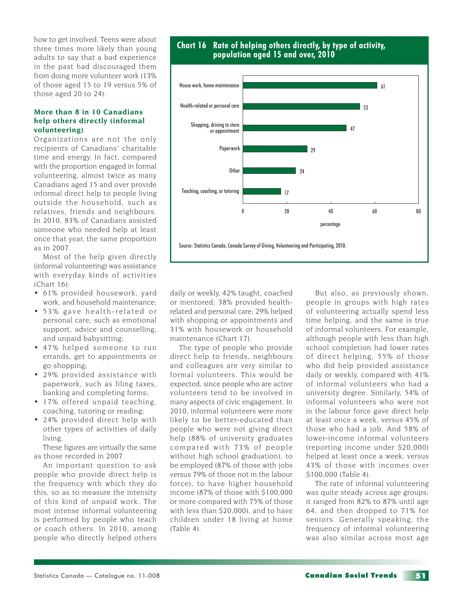how to get involved. Teens were about three times more likely than young adults to say that a bad experience in the past had discouraged them from doing more volunteer work (13% of those aged 15 to 19 versus 5% of those aged 20 to 24).

#### **More than 8 in 10 Canadians help others directly (informal volunteering)**

Organizations are not the only recipients of Canadians' charitable time and energy. In fact, compared with the proportion engaged in formal volunteering, almost twice as many Canadians aged 15 and over provide informal direct help to people living outside the household, such as relatives, friends and neighbours. In 2010, 83% of Canadians assisted someone who needed help at least once that year, the same proportion as in 2007.

Most of the help given directly (informal volunteering) was assistance with everyday kinds of activities (Chart 16):

- 61% provided housework, yard work, and household maintenance;
- 53% gave health-related or personal care, such as emotional support, advice and counselling, and unpaid babysitting;
- 47% helped someone to run errands, get to appointments or go shopping;
- 29% provided assistance with paperwork, such as filing taxes, banking and completing forms;
- 17% offered unpaid teaching, coaching, tutoring or reading;
- 24% provided direct help with other types of activities of daily living.

These figures are virtually the same as those recorded in 2007.

An important question to ask people who provide direct help is the frequency with which they do this, so as to measure the intensity of this kind of unpaid work. The most intense informal volunteering is performed by people who teach or coach others. In 2010, among people who directly helped others





daily or weekly, 42% taught, coached or mentored; 38% provided healthrelated and personal care; 29% helped with shopping or appointments and 31% with housework or household maintenance (Chart 17).

The type of people who provide direct help to friends, neighbours and colleagues are very similar to formal volunteers. This would be expected, since people who are active volunteers tend to be involved in many aspects of civic engagement. In 2010, informal volunteers were more likely to be better-educated than people who were not giving direct help (88% of university graduates compared with 73% of people without high school graduation), to be employed (87% of those with jobs versus 79% of those not in the labour force), to have higher household income (87% of those with \$100,000 or more compared with 75% of those with less than \$20,000), and to have children under 18 living at home (Table 4).

But also, as previously shown, people in groups with high rates of volunteering actually spend less time helping, and the same is true of informal volunteers. For example, although people with less than high school completion had lower rates of direct helping, 55% of those who did help provided assistance daily or weekly, compared with 41% of informal volunteers who had a university degree. Similarly, 54% of informal volunteers who were not in the labour force gave direct help at least once a week, versus 45% of those who had a job. And 58% of lower-income informal volunteers (reporting income under \$20,000) helped at least once a week, versus 43% of those with incomes over \$100,000 (Table 4).

The rate of informal volunteering was quite steady across age groups; it ranged from 82% to 87% until age 64, and then dropped to 71% for seniors. Generally speaking, the frequency of informal volunteering was also similar across most age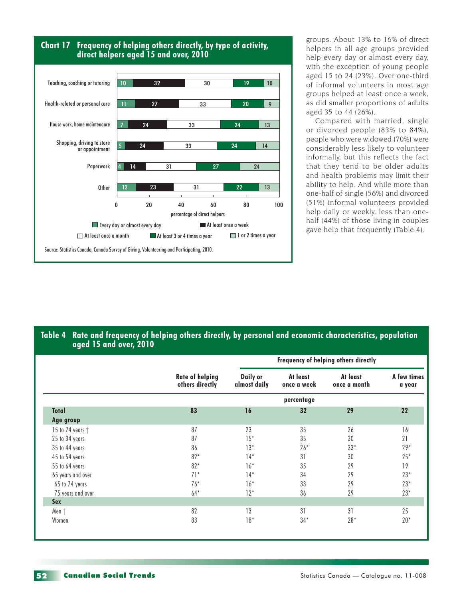



groups. About 13% to 16% of direct helpers in all age groups provided help every day or almost every day, with the exception of young people aged 15 to 24 (23%). Over one-third of informal volunteers in most age groups helped at least once a week, as did smaller proportions of adults aged 35 to 44 (26%).

Compared with married, single or divorced people (83% to 84%), people who were widowed (70%) were considerably less likely to volunteer informally, but this reflects the fact that they tend to be older adults and health problems may limit their ability to help. And while more than one-half of single (56%) and divorced (51%) informal volunteers provided help daily or weekly, less than onehalf (44%) of those living in couples gave help that frequently (Table 4).

#### **Table 4 Rate and frequency of helping others directly, by personal and economic characteristics, population aged 15 and over, 2010**

|                   |                                           | Frequency of helping others directly |                         |                          |                       |  |  |  |  |
|-------------------|-------------------------------------------|--------------------------------------|-------------------------|--------------------------|-----------------------|--|--|--|--|
|                   | <b>Rate of helping</b><br>others directly | Daily or<br>almost daily             | At least<br>once a week | At least<br>once a month | A few times<br>a year |  |  |  |  |
|                   | percentage                                |                                      |                         |                          |                       |  |  |  |  |
| <b>Total</b>      | 83                                        | 16                                   | 32                      | 29                       | 22                    |  |  |  |  |
| Age group         |                                           |                                      |                         |                          |                       |  |  |  |  |
| 15 to 24 years †  | 87                                        | 23                                   | 35                      | 26                       | 16                    |  |  |  |  |
| 25 to 34 years    | 87                                        | $15*$                                | 35                      | 30                       | 21                    |  |  |  |  |
| 35 to 44 years    | 86                                        | $13*$                                | $26*$                   | $33*$                    | $29*$                 |  |  |  |  |
| 45 to 54 years    | $82*$                                     | $14*$                                | 31                      | 30                       | $25*$                 |  |  |  |  |
| 55 to 64 years    | $82*$                                     | $16*$                                | 35                      | 29                       | 19                    |  |  |  |  |
| 65 years and over | $71*$                                     | $14*$                                | 34                      | 29                       | $23*$                 |  |  |  |  |
| 65 to 74 years    | $76*$                                     | $16*$                                | 33                      | 29                       | $23*$                 |  |  |  |  |
| 75 years and over | $64*$                                     | $12*$                                | 36                      | 29                       | $23*$                 |  |  |  |  |
| <b>Sex</b>        |                                           |                                      |                         |                          |                       |  |  |  |  |
| Men †             | 82                                        | 13                                   | 31                      | 31                       | 25                    |  |  |  |  |
| Women             | 83                                        | $18*$                                | $34*$                   | $28*$                    | $20*$                 |  |  |  |  |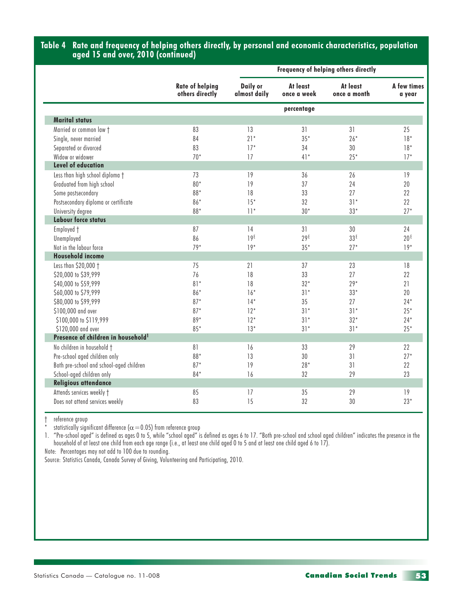#### **Table 4 Rate and frequency of helping others directly, by personal and economic characteristics, population aged 15 and over, 2010 (continued)**

|                                                |                                           | Frequency of helping others directly |                         |                          |                       |  |
|------------------------------------------------|-------------------------------------------|--------------------------------------|-------------------------|--------------------------|-----------------------|--|
|                                                | <b>Rate of helping</b><br>others directly | Daily or<br>almost daily             | At least<br>once a week | At least<br>once a month | A few times<br>a year |  |
|                                                |                                           |                                      | percentage              |                          |                       |  |
| <b>Marital status</b>                          |                                           |                                      |                         |                          |                       |  |
| Married or common law t                        | 83                                        | 13                                   | 31                      | 31                       | 25                    |  |
| Single, never married                          | 84                                        | $21*$                                | $35*$                   | $26*$                    | $18*$                 |  |
| Separated or divorced                          | 83                                        | $17*$                                | 34                      | 30                       | $18*$                 |  |
| Widow or widower                               | $70*$                                     | 17                                   | $41*$                   | $25*$                    | $17*$                 |  |
| <b>Level of education</b>                      |                                           |                                      |                         |                          |                       |  |
| Less than high school diploma +                | 73                                        | 19                                   | 36                      | 26                       | 19                    |  |
| Graduated from high school                     | $80*$                                     | 19                                   | 37                      | 24                       | 20                    |  |
| Some postsecondary                             | 88*                                       | 18                                   | 33                      | 27                       | 22                    |  |
| Postsecondary diploma or certificate           | $86*$                                     | $15*$                                | 32                      | $31*$                    | 22                    |  |
| University degree                              | 88*                                       | $11*$                                | $30*$                   | $33*$                    | $27*$                 |  |
| <b>Labour force status</b>                     |                                           |                                      |                         |                          |                       |  |
| Employed +                                     | 87                                        | 14                                   | 31                      | 30                       | 24                    |  |
| Unemployed                                     | 86                                        | 19 <sup>E</sup>                      | 29E                     | 33E                      | 20 <sup>E</sup>       |  |
| Not in the labour force                        | $79*$                                     | $19*$                                | $35*$                   | $27*$                    | $19*$                 |  |
| <b>Household income</b>                        |                                           |                                      |                         |                          |                       |  |
| Less than \$20,000 +                           | 75                                        | 21                                   | 37                      | 23                       | 18                    |  |
| \$20,000 to \$39,999                           | 76                                        | 18                                   | 33                      | 27                       | 22                    |  |
| \$40,000 to \$59,999                           | $81*$                                     | 18                                   | $32*$                   | $29*$                    | 21                    |  |
| \$60,000 to \$79,999                           | $86*$                                     | $16*$                                | $31*$                   | $33*$                    | 20                    |  |
| \$80,000 to \$99,999                           | $87*$                                     | $14*$                                | 35                      | 27                       | $24*$                 |  |
| \$100,000 and over                             | $87*$                                     | $12*$                                | $31*$                   | $31*$                    | $25*$                 |  |
| \$100,000 to \$119,999                         | $89*$                                     | $12*$                                | $31*$                   | $32*$                    | $24*$                 |  |
| \$120,000 and over                             | $85*$                                     | $13*$                                | $31*$                   | $31*$                    | $25*$                 |  |
| Presence of children in household <sup>1</sup> |                                           |                                      |                         |                          |                       |  |
| No children in household †                     | 81                                        | 16                                   | 33                      | 29                       | 22                    |  |
| Pre-school aged children only                  | 88*                                       | 13                                   | 30                      | 31                       | $27*$                 |  |
| Both pre-school and school-aged children       | $87*$                                     | 19                                   | $28*$                   | 31                       | 22                    |  |
| School-aged children only                      | 84*                                       | 16                                   | 32                      | 29                       | 23                    |  |
| <b>Religious attendance</b>                    |                                           |                                      |                         |                          |                       |  |
| Attends services weekly t                      | 85                                        | 17                                   | 35                      | 29                       | 19                    |  |
| Does not attend services weekly                | 83                                        | 15                                   | 32                      | 30                       | $23*$                 |  |
|                                                |                                           |                                      |                         |                          |                       |  |

† reference group

statistically significant difference ( $\alpha$  = 0.05) from reference group

1. "Pre-school aged" is defined as ages 0 to 5, while "school aged" is defined as ages 6 to 17. "Both pre-school and school aged children" indicates the presence in the household of at least one child from each age range (i.e., at least one child aged 0 to 5 and at least one child aged 6 to 17).

Note: Percentages may not add to 100 due to rounding.

Source: Statistics Canada, Canada Survey of Giving, Volunteering and Participating, 2010.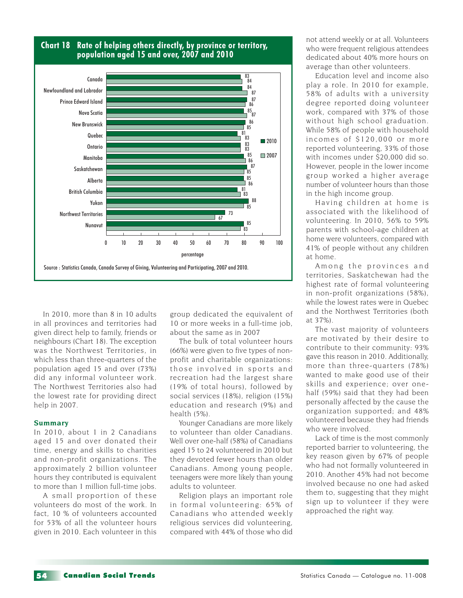

#### **Chart 18 Rate of helping others directly, by province or territory, population aged 15 and over, 2007 and 2010**

In 2010, more than 8 in 10 adults in all provinces and territories had given direct help to family, friends or neighbours (Chart 18). The exception was the Northwest Territories, in which less than three-quarters of the population aged 15 and over (73%) did any informal volunteer work. The Northwest Territories also had the lowest rate for providing direct help in 2007.

#### **Summary**

In 2010, about 1 in 2 Canadians aged 15 and over donated their time, energy and skills to charities and non-profit organizations. The approximately 2 billion volunteer hours they contributed is equivalent to more than 1 million full-time jobs.

A small proportion of these volunteers do most of the work. In fact, 10 % of volunteers accounted for 53% of all the volunteer hours given in 2010. Each volunteer in this

group dedicated the equivalent of 10 or more weeks in a full-time job, about the same as in 2007

The bulk of total volunteer hours (66%) were given to five types of nonprofit and charitable organizations: those involved in sports and recreation had the largest share (19% of total hours), followed by social services (18%), religion (15%) education and research (9%) and health (5%).

Younger Canadians are more likely to volunteer than older Canadians. Well over one-half (58%) of Canadians aged 15 to 24 volunteered in 2010 but they devoted fewer hours than older Canadians. Among young people, teenagers were more likely than young adults to volunteer.

Religion plays an important role in formal volunteering: 65% of Canadians who attended weekly religious services did volunteering, compared with 44% of those who did

not attend weekly or at all. Volunteers who were frequent religious attendees dedicated about 40% more hours on average than other volunteers.

Education level and income also play a role. In 2010 for example, 58% of adults with a university degree reported doing volunteer work, compared with 37% of those without high school graduation. While 58% of people with household incomes of \$120,000 or more reported volunteering, 33% of those with incomes under \$20,000 did so. However, people in the lower income group worked a higher average number of volunteer hours than those in the high income group.

Having children at home is associated with the likelihood of volunteering. In 2010, 56% to 59% parents with school-age children at home were volunteers, compared with 41% of people without any children at home.

Among the provinces and territories, Saskatchewan had the highest rate of formal volunteering in non-profit organizations (58%), while the lowest rates were in Quebec and the Northwest Territories (both at 37%).

The vast majority of volunteers are motivated by their desire to contribute to their community: 93% gave this reason in 2010. Additionally, more than three-quarters (78%) wanted to make good use of their skills and experience; over onehalf (59%) said that they had been personally affected by the cause the organization supported; and 48% volunteered because they had friends who were involved.

Lack of time is the most commonly reported barrier to volunteering, the key reason given by 67% of people who had not formally volunteered in 2010. Another 45% had not become involved because no one had asked them to, suggesting that they might sign up to volunteer if they were approached the right way.